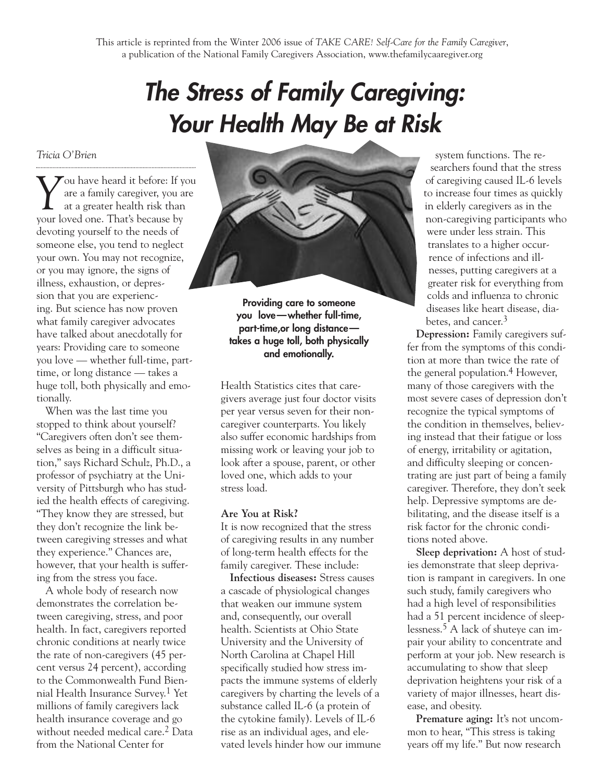# *The Stress of Family Caregiving: Your Health May Be at Risk*

*Tricia O'Brien*

*Y* ou have heard it before: If you are a family caregiver, you are at a greater health risk than are a family caregiver, you are at a greater health risk than your loved one. That's because by devoting yourself to the needs of someone else, you tend to neglect your own. You may not recognize, or you may ignore, the signs of illness, exhaustion, or depression that you are experiencing. But science has now proven what family caregiver advocates have talked about anecdotally for years: Providing care to someone you love — whether full-time, parttime, or long distance — takes a huge toll, both physically and emotionally.

When was the last time you stopped to think about yourself? "Caregivers often don't see themselves as being in a difficult situation," says Richard Schulz, Ph.D., a professor of psychiatry at the University of Pittsburgh who has studied the health effects of caregiving. "They know they are stressed, but they don't recognize the link between caregiving stresses and what they experience." Chances are, however, that your health is suffering from the stress you face.

A whole body of research now demonstrates the correlation between caregiving, stress, and poor health. In fact, caregivers reported chronic conditions at nearly twice the rate of non-caregivers (45 percent versus 24 percent), according to the Commonwealth Fund Biennial Health Insurance Survey. 1 Yet millions of family caregivers lack health insurance coverage and go without needed medical care.2 Data from the National Center for



**Providing care to someone you love—whether full-time, part-time,or long distance takes a huge toll, both physically and emotionally.**

Health Statistics cites that caregivers average just four doctor visits per year versus seven for their noncaregiver counterparts. You likely also suffer economic hardships from missing work or leaving your job to look after a spouse, parent, or other loved one, which adds to your stress load.

### **Are You at Risk?**

It is now recognized that the stress of caregiving results in any number of long-term health effects for the family caregiver. These include:

**Infectious diseases:** Stress causes a cascade of physiological changes that weaken our immune system and, consequently, our overall health. Scientists at Ohio State University and the University of North Carolina at Chapel Hill specifically studied how stress impacts the immune systems of elderly caregivers by charting the levels of a substance called IL-6 (a protein of the cytokine family). Levels of IL-6 rise as an individual ages, and elevated levels hinder how our immune

system functions. The researchers found that the stress of caregiving caused IL-6 levels to increase four times as quickly in elderly caregivers as in the non-caregiving participants who were under less strain. This translates to a higher occurrence of infections and illnesses, putting caregivers at a greater risk for everything from colds and influenza to chronic diseases like heart disease, diabetes, and cancer.3

**Depression:** Family caregivers suffer from the symptoms of this condition at more than twice the rate of the general population.4 However, many of those caregivers with the most severe cases of depression don't recognize the typical symptoms of the condition in themselves, believing instead that their fatigue or loss of energy, irritability or agitation, and difficulty sleeping or concentrating are just part of being a family caregiver. Therefore, they don't seek help. Depressive symptoms are debilitating, and the disease itself is a risk factor for the chronic conditions noted above.

**Sleep deprivation:** A host of studies demonstrate that sleep deprivation is rampant in caregivers. In one such study, family caregivers who had a high level of responsibilities had a 51 percent incidence of sleeplessness.5 A lack of shuteye can impair your ability to concentrate and perform at your job. New research is accumulating to show that sleep deprivation heightens your risk of a variety of major illnesses, heart disease, and obesity.

Premature aging: It's not uncommon to hear, "This stress is taking years off my life." But now research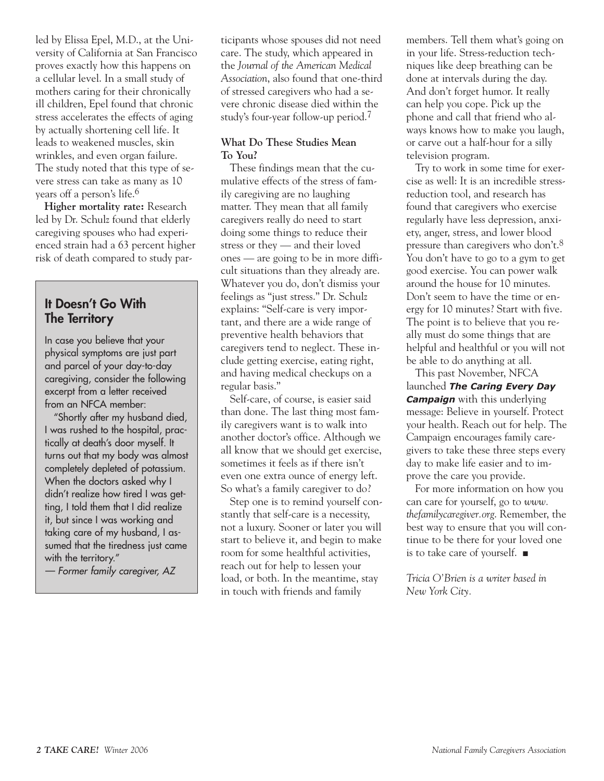led by Elissa Epel, M.D., at the University of California at San Francisco proves exactly how this happens on a cellular level. In a small study of mothers caring for their chronically ill children, Epel found that chronic stress accelerates the effects of aging by actually shortening cell life. It leads to weakened muscles, skin wrinkles, and even organ failure. The study noted that this type of severe stress can take as many as 10 years off a person's life.6

**Higher mortality rate:** Research led by Dr. Schulz found that elderly caregiving spouses who had experienced strain had a 63 percent higher risk of death compared to study par-

## **It Doesn't Go With The Territory**

In case you believe that your physical symptoms are just part and parcel of your day-to-day caregiving, consider the following excerpt from a letter received from an NFCA member:

"Shortly after my husband died, I was rushed to the hospital, practically at death's door myself. It turns out that my body was almost completely depleted of potassium. When the doctors asked why I didn't realize how tired I was getting, I told them that I did realize it, but since I was working and taking care of my husband, I assumed that the tiredness just came with the territory."

*— Former family caregiver, AZ*

ticipants whose spouses did not need care. The study, which appeared in the *Journal of the American Medical Association*, also found that one-third of stressed caregivers who had a severe chronic disease died within the study's four-year follow-up period.7

#### **What Do These Studies Mean To You?**

These findings mean that the cumulative effects of the stress of family caregiving are no laughing matter. They mean that all family caregivers really do need to start doing some things to reduce their stress or they — and their loved ones — are going to be in more difficult situations than they already are. Whatever you do, don't dismiss your feelings as "just stress." Dr. Schulz explains: "Self-care is very important, and there are a wide range of preventive health behaviors that caregivers tend to neglect. These include getting exercise, eating right, and having medical checkups on a regular basis."

Self-care, of course, is easier said than done. The last thing most family caregivers want is to walk into another doctor's office. Although we all know that we should get exercise, sometimes it feels as if there isn't even one extra ounce of energy left. So what's a family caregiver to do?

Step one is to remind yourself constantly that self-care is a necessity, not a luxury. Sooner or later you will start to believe it, and begin to make room for some healthful activities, reach out for help to lessen your load, or both. In the meantime, stay in touch with friends and family

members. Tell them what's going on in your life. Stress-reduction techniques like deep breathing can be done at intervals during the day. And don't forget humor. It really can help you cope. Pick up the phone and call that friend who always knows how to make you laugh, or carve out a half-hour for a silly television program.

Try to work in some time for exercise as well: It is an incredible stressreduction tool, and research has found that caregivers who exercise regularly have less depression, anxiety, anger, stress, and lower blood pressure than caregivers who don't.8 You don't have to go to a gym to get good exercise. You can power walk around the house for 10 minutes. Don't seem to have the time or energy for 10 minutes? Start with five. The point is to believe that you really must do some things that are helpful and healthful or you will not be able to do anything at all.

This past November, NFCA launched *The Caring Every Day Campaign* with this underlying message: Believe in yourself. Protect your health. Reach out for help. The Campaign encourages family caregivers to take these three steps every day to make life easier and to improve the care you provide.

For more information on how you can care for yourself, go to *www. thefamilycaregiver.org*. Remember, the best way to ensure that you will continue to be there for your loved one is to take care of yourself. ■

*Tricia O'Brien is a writer based in New York City.*